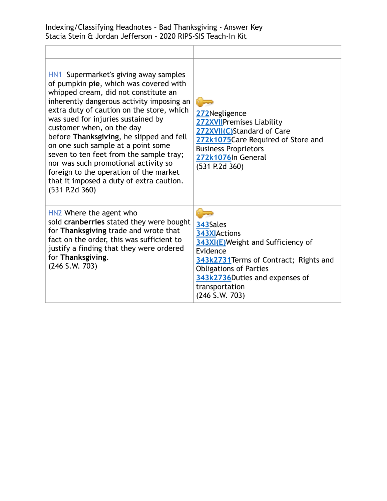| HN1 Supermarket's giving away samples<br>of pumpkin pie, which was covered with<br>whipped cream, did not constitute an<br>inherently dangerous activity imposing an<br>extra duty of caution on the store, which<br>was sued for injuries sustained by<br>customer when, on the day<br>before Thanksgiving, he slipped and fell<br>on one such sample at a point some<br>seven to ten feet from the sample tray;<br>nor was such promotional activity so<br>foreign to the operation of the market<br>that it imposed a duty of extra caution.<br>(531 P.2d 360) | 272Negligence<br>272XVIIPremises Liability<br>272XVII(C)Standard of Care<br>272k1075Care Required of Store and<br><b>Business Proprietors</b><br>272k1076In General<br>$(531$ P.2d 360)                                       |
|-------------------------------------------------------------------------------------------------------------------------------------------------------------------------------------------------------------------------------------------------------------------------------------------------------------------------------------------------------------------------------------------------------------------------------------------------------------------------------------------------------------------------------------------------------------------|-------------------------------------------------------------------------------------------------------------------------------------------------------------------------------------------------------------------------------|
| HN2 Where the agent who<br>sold cranberries stated they were bought<br>for Thanksgiving trade and wrote that<br>fact on the order, this was sufficient to<br>justify a finding that they were ordered<br>for Thanksgiving.<br>$(246$ S.W. 703)                                                                                                                                                                                                                                                                                                                    | 343Sales<br>343XIActions<br>343XI(E) Weight and Sufficiency of<br>Evidence<br>343k2731 Terms of Contract; Rights and<br><b>Obligations of Parties</b><br>343k2736Duties and expenses of<br>transportation<br>$(246$ S.W. 703) |

Ī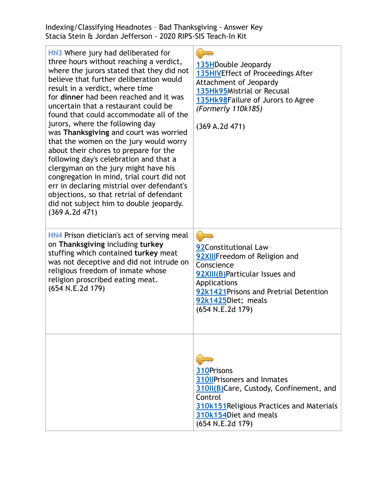Indexing/Classifying Headnotes – Bad Thanksgiving - Answer Key Stacia Stein & Jordan Jefferson - 2020 RIPS-SIS Teach-In Kit

| HN3 Where jury had deliberated for<br>three hours without reaching a verdict,<br>where the jurors stated that they did not<br>believe that further deliberation would<br>result in a verdict, where time<br>for dinner had been reached and it was<br>uncertain that a restaurant could be<br>found that could accommodate all of the<br>jurors, where the following day<br>was Thanksgiving and court was worried<br>that the women on the jury would worry<br>about their chores to prepare for the<br>following day's celebration and that a<br>clergyman on the jury might have his<br>congregation in mind, trial court did not<br>err in declaring mistrial over defendant's<br>objections, so that retrial of defendant<br>did not subject him to double jeopardy.<br>(369 A.2d 471) | 135HDouble Jeopardy<br>135HIVEffect of Proceedings After<br>Attachment of Jeopardy<br>135Hk95Mistrial or Recusal<br>135Hk98Failure of Jurors to Agree<br>(Formerly 110k185)<br>(369 A.2d 471)             |
|---------------------------------------------------------------------------------------------------------------------------------------------------------------------------------------------------------------------------------------------------------------------------------------------------------------------------------------------------------------------------------------------------------------------------------------------------------------------------------------------------------------------------------------------------------------------------------------------------------------------------------------------------------------------------------------------------------------------------------------------------------------------------------------------|-----------------------------------------------------------------------------------------------------------------------------------------------------------------------------------------------------------|
| HN4 Prison dietician's act of serving meal<br>on Thanksgiving including turkey<br>stuffing which contained turkey meat<br>was not deceptive and did not intrude on<br>religious freedom of inmate whose<br>religion proscribed eating meat.<br>(654 N.E.2d 179)                                                                                                                                                                                                                                                                                                                                                                                                                                                                                                                             | 92Constitutional Law<br>92XIIIFreedom of Religion and<br>Conscience<br>92XIII(B)Particular Issues and<br>Applications<br>92k1421 Prisons and Pretrial Detention<br>92k1425Diet; meals<br>(654 N.E.2d 179) |
|                                                                                                                                                                                                                                                                                                                                                                                                                                                                                                                                                                                                                                                                                                                                                                                             | 310Prisons<br><b>310IIPrisoners and Inmates</b><br>310II(B)Care, Custody, Confinement, and<br>Control<br>310k151 Religious Practices and Materials<br>310k154Diet and meals<br>(654 N.E.2d 179)           |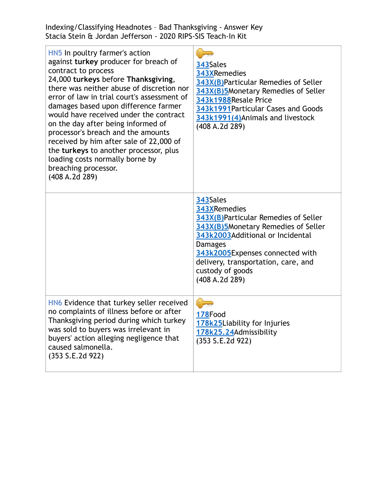Indexing/Classifying Headnotes – Bad Thanksgiving - Answer Key Stacia Stein & Jordan Jefferson - 2020 RIPS-SIS Teach-In Kit

| HN5 In poultry farmer's action<br>against turkey producer for breach of<br>contract to process<br>24,000 turkeys before Thanksgiving,<br>there was neither abuse of discretion nor<br>error of law in trial court's assessment of<br>damages based upon difference farmer<br>would have received under the contract<br>on the day after being informed of<br>processor's breach and the amounts<br>received by him after sale of 22,000 of<br>the turkeys to another processor, plus<br>loading costs normally borne by<br>breaching processor.<br>(408 A.2d 289) | 343Sales<br>343XRemedies<br>343X(B)Particular Remedies of Seller<br>343X(B)5Monetary Remedies of Seller<br>343k1988Resale Price<br>343k1991 Particular Cases and Goods<br>343k1991(4) Animals and livestock<br>(408 A.2d 289)                                                 |
|-------------------------------------------------------------------------------------------------------------------------------------------------------------------------------------------------------------------------------------------------------------------------------------------------------------------------------------------------------------------------------------------------------------------------------------------------------------------------------------------------------------------------------------------------------------------|-------------------------------------------------------------------------------------------------------------------------------------------------------------------------------------------------------------------------------------------------------------------------------|
|                                                                                                                                                                                                                                                                                                                                                                                                                                                                                                                                                                   | 343Sales<br>343XRemedies<br>343X(B)Particular Remedies of Seller<br>343X(B)5Monetary Remedies of Seller<br>343k2003Additional or Incidental<br><b>Damages</b><br>343k2005Expenses connected with<br>delivery, transportation, care, and<br>custody of goods<br>(408 A.2d 289) |
| HN6 Evidence that turkey seller received<br>no complaints of illness before or after<br>Thanksgiving period during which turkey<br>was sold to buyers was irrelevant in<br>buyers' action alleging negligence that<br>caused salmonella.<br>(353 S.E.2d 922)                                                                                                                                                                                                                                                                                                      | 178Food<br>178k25Liability for Injuries<br>178k25.24Admissibility<br>(353 S.E.2d 922)                                                                                                                                                                                         |